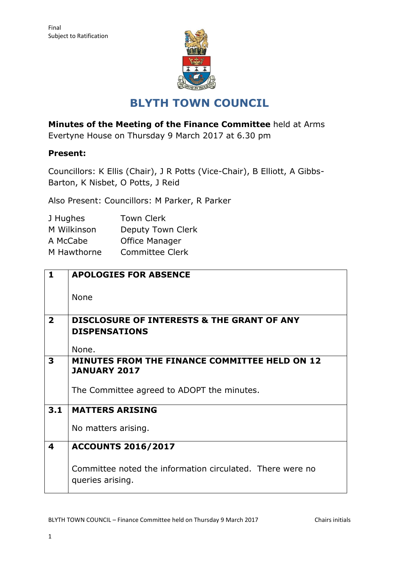

# **BLYTH TOWN COUNCIL**

**Minutes of the Meeting of the Finance Committee** held at Arms

Evertyne House on Thursday 9 March 2017 at 6.30 pm

## **Present:**

Councillors: K Ellis (Chair), J R Potts (Vice-Chair), B Elliott, A Gibbs-Barton, K Nisbet, O Potts, J Reid

Also Present: Councillors: M Parker, R Parker

| <b>Town Clerk</b>     |
|-----------------------|
| Deputy Town Clerk     |
| <b>Office Manager</b> |
| Committee Clerk       |
|                       |

| $\mathbf{1}$                  | <b>APOLOGIES FOR ABSENCE</b>                                                  |  |  |  |  |  |  |
|-------------------------------|-------------------------------------------------------------------------------|--|--|--|--|--|--|
|                               | <b>None</b>                                                                   |  |  |  |  |  |  |
| $\overline{2}$                | <b>DISCLOSURE OF INTERESTS &amp; THE GRANT OF ANY</b><br><b>DISPENSATIONS</b> |  |  |  |  |  |  |
|                               | None.                                                                         |  |  |  |  |  |  |
| 3                             | <b>MINUTES FROM THE FINANCE COMMITTEE HELD ON 12</b><br><b>JANUARY 2017</b>   |  |  |  |  |  |  |
|                               | The Committee agreed to ADOPT the minutes.                                    |  |  |  |  |  |  |
| 3.1<br><b>MATTERS ARISING</b> |                                                                               |  |  |  |  |  |  |
|                               | No matters arising.                                                           |  |  |  |  |  |  |
| 4                             | <b>ACCOUNTS 2016/2017</b>                                                     |  |  |  |  |  |  |
|                               | Committee noted the information circulated. There were no<br>queries arising. |  |  |  |  |  |  |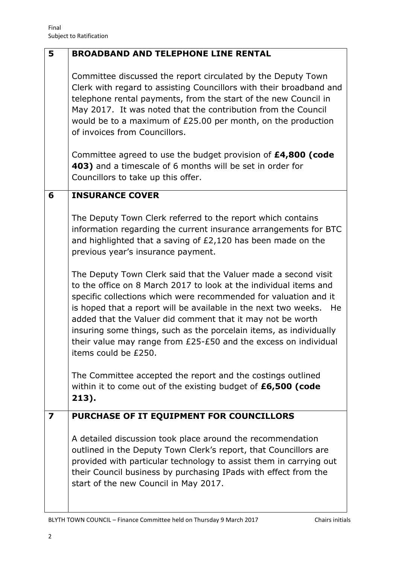| 5 | <b>BROADBAND AND TELEPHONE LINE RENTAL</b>                                                                                                                                                                                                                                                                                                                                                                                                                                                                      |  |  |  |  |  |  |
|---|-----------------------------------------------------------------------------------------------------------------------------------------------------------------------------------------------------------------------------------------------------------------------------------------------------------------------------------------------------------------------------------------------------------------------------------------------------------------------------------------------------------------|--|--|--|--|--|--|
|   | Committee discussed the report circulated by the Deputy Town<br>Clerk with regard to assisting Councillors with their broadband and<br>telephone rental payments, from the start of the new Council in<br>May 2017. It was noted that the contribution from the Council<br>would be to a maximum of £25.00 per month, on the production<br>of invoices from Councillors.                                                                                                                                        |  |  |  |  |  |  |
|   | Committee agreed to use the budget provision of £4,800 (code<br>403) and a timescale of 6 months will be set in order for<br>Councillors to take up this offer.                                                                                                                                                                                                                                                                                                                                                 |  |  |  |  |  |  |
| 6 | <b>INSURANCE COVER</b>                                                                                                                                                                                                                                                                                                                                                                                                                                                                                          |  |  |  |  |  |  |
|   | The Deputy Town Clerk referred to the report which contains<br>information regarding the current insurance arrangements for BTC<br>and highlighted that a saving of £2,120 has been made on the<br>previous year's insurance payment.                                                                                                                                                                                                                                                                           |  |  |  |  |  |  |
|   | The Deputy Town Clerk said that the Valuer made a second visit<br>to the office on 8 March 2017 to look at the individual items and<br>specific collections which were recommended for valuation and it<br>is hoped that a report will be available in the next two weeks.<br>He<br>added that the Valuer did comment that it may not be worth<br>insuring some things, such as the porcelain items, as individually<br>their value may range from £25-£50 and the excess on individual<br>items could be £250. |  |  |  |  |  |  |
|   | The Committee accepted the report and the costings outlined<br>within it to come out of the existing budget of £6,500 (code<br>213).                                                                                                                                                                                                                                                                                                                                                                            |  |  |  |  |  |  |
| 7 | PURCHASE OF IT EQUIPMENT FOR COUNCILLORS                                                                                                                                                                                                                                                                                                                                                                                                                                                                        |  |  |  |  |  |  |
|   | A detailed discussion took place around the recommendation<br>outlined in the Deputy Town Clerk's report, that Councillors are<br>provided with particular technology to assist them in carrying out<br>their Council business by purchasing IPads with effect from the<br>start of the new Council in May 2017.                                                                                                                                                                                                |  |  |  |  |  |  |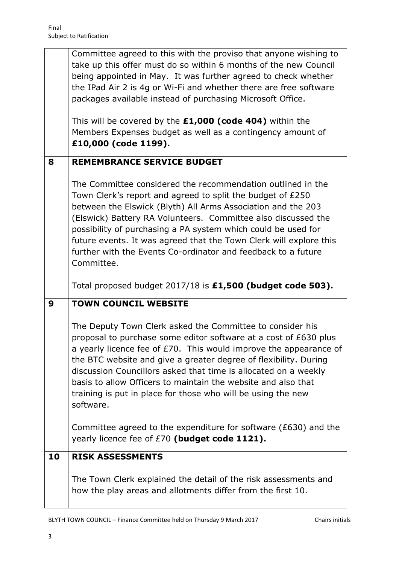|    | Committee agreed to this with the proviso that anyone wishing to<br>take up this offer must do so within 6 months of the new Council<br>being appointed in May. It was further agreed to check whether<br>the IPad Air 2 is 4g or Wi-Fi and whether there are free software<br>packages available instead of purchasing Microsoft Office.<br>This will be covered by the £1,000 (code 404) within the<br>Members Expenses budget as well as a contingency amount of<br>£10,000 (code 1199). |  |  |  |  |  |  |
|----|---------------------------------------------------------------------------------------------------------------------------------------------------------------------------------------------------------------------------------------------------------------------------------------------------------------------------------------------------------------------------------------------------------------------------------------------------------------------------------------------|--|--|--|--|--|--|
| 8  | <b>REMEMBRANCE SERVICE BUDGET</b>                                                                                                                                                                                                                                                                                                                                                                                                                                                           |  |  |  |  |  |  |
|    | The Committee considered the recommendation outlined in the<br>Town Clerk's report and agreed to split the budget of £250<br>between the Elswick (Blyth) All Arms Association and the 203<br>(Elswick) Battery RA Volunteers. Committee also discussed the<br>possibility of purchasing a PA system which could be used for<br>future events. It was agreed that the Town Clerk will explore this<br>further with the Events Co-ordinator and feedback to a future<br>Committee.            |  |  |  |  |  |  |
|    | Total proposed budget 2017/18 is £1,500 (budget code 503).                                                                                                                                                                                                                                                                                                                                                                                                                                  |  |  |  |  |  |  |
|    |                                                                                                                                                                                                                                                                                                                                                                                                                                                                                             |  |  |  |  |  |  |
| 9  | <b>TOWN COUNCIL WEBSITE</b>                                                                                                                                                                                                                                                                                                                                                                                                                                                                 |  |  |  |  |  |  |
|    | The Deputy Town Clerk asked the Committee to consider his<br>proposal to purchase some editor software at a cost of £630 plus<br>a yearly licence fee of £70. This would improve the appearance of<br>the BTC website and give a greater degree of flexibility. During<br>discussion Councillors asked that time is allocated on a weekly<br>basis to allow Officers to maintain the website and also that<br>training is put in place for those who will be using the new<br>software.     |  |  |  |  |  |  |
|    | Committee agreed to the expenditure for software ( $E$ 630) and the<br>yearly licence fee of £70 (budget code 1121).                                                                                                                                                                                                                                                                                                                                                                        |  |  |  |  |  |  |
| 10 | <b>RISK ASSESSMENTS</b>                                                                                                                                                                                                                                                                                                                                                                                                                                                                     |  |  |  |  |  |  |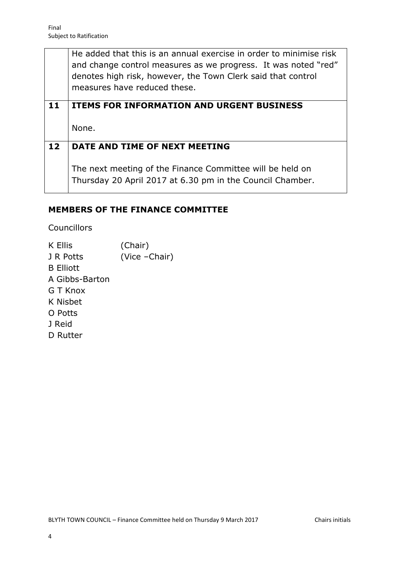He added that this is an annual exercise in order to minimise risk and change control measures as we progress. It was noted "red" denotes high risk, however, the Town Clerk said that control measures have reduced these.

# **11 ITEMS FOR INFORMATION AND URGENT BUSINESS** None.

# **12 DATE AND TIME OF NEXT MEETING**

The next meeting of the Finance Committee will be held on Thursday 20 April 2017 at 6.30 pm in the Council Chamber.

### **MEMBERS OF THE FINANCE COMMITTEE**

Councillors

K Ellis (Chair) J R Potts (Vice – Chair) B Elliott A Gibbs-Barton G T Knox K Nisbet O Potts J Reid D Rutter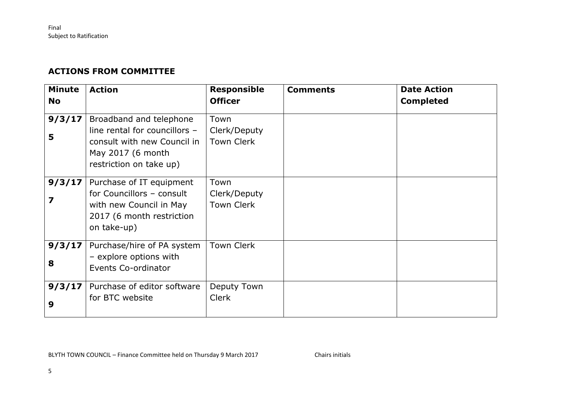### **ACTIONS FROM COMMITTEE**

| <b>Minute</b><br><b>No</b> | <b>Action</b>                                                                                                                           | <b>Responsible</b><br><b>Officer</b>      | <b>Comments</b> | <b>Date Action</b><br><b>Completed</b> |
|----------------------------|-----------------------------------------------------------------------------------------------------------------------------------------|-------------------------------------------|-----------------|----------------------------------------|
| 9/3/17<br>5                | Broadband and telephone<br>line rental for councillors -<br>consult with new Council in<br>May 2017 (6 month<br>restriction on take up) | Town<br>Clerk/Deputy<br><b>Town Clerk</b> |                 |                                        |
| 9/3/17<br>7                | Purchase of IT equipment<br>for Councillors - consult<br>with new Council in May<br>2017 (6 month restriction<br>on take-up)            | Town<br>Clerk/Deputy<br><b>Town Clerk</b> |                 |                                        |
| 9/3/17<br>8                | Purchase/hire of PA system<br>- explore options with<br>Events Co-ordinator                                                             | <b>Town Clerk</b>                         |                 |                                        |
| 9/3/17<br>9                | Purchase of editor software<br>for BTC website                                                                                          | Deputy Town<br><b>Clerk</b>               |                 |                                        |

BLYTH TOWN COUNCIL – Finance Committee held on Thursday 9 March 2017 Chairs initials